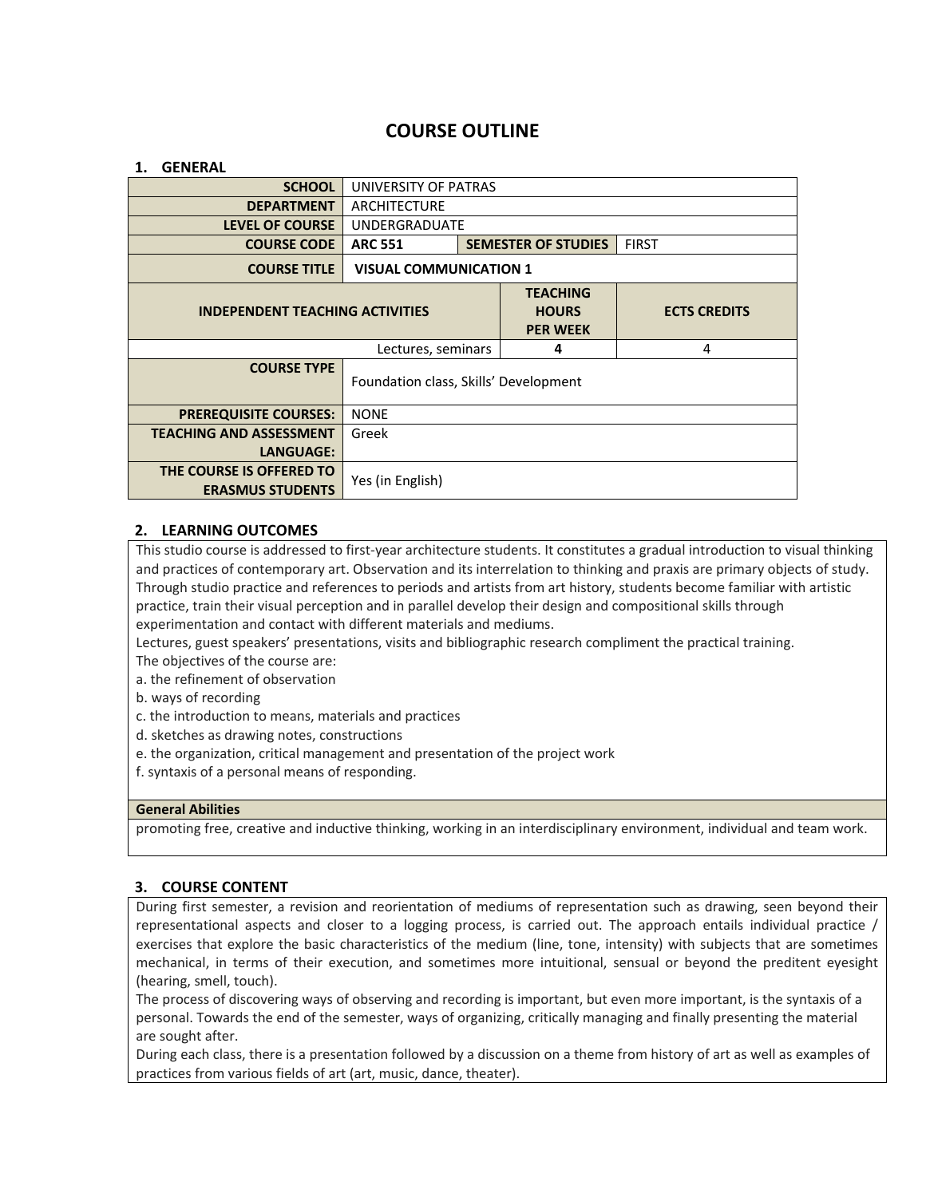# **COURSE OUTLINE**

#### **1. GENERAL**

| <b>SCHOOL</b>                                       | UNIVERSITY OF PATRAS                         |                                                    |                     |  |
|-----------------------------------------------------|----------------------------------------------|----------------------------------------------------|---------------------|--|
| <b>DEPARTMENT</b>                                   | ARCHITECTURE                                 |                                                    |                     |  |
| <b>LEVEL OF COURSE</b>                              | <b>UNDERGRADUATE</b>                         |                                                    |                     |  |
| <b>COURSE CODE</b>                                  | <b>SEMESTER OF STUDIES</b><br><b>ARC 551</b> |                                                    | <b>FIRST</b>        |  |
| <b>COURSE TITLE</b>                                 | <b>VISUAL COMMUNICATION 1</b>                |                                                    |                     |  |
| <b>INDEPENDENT TEACHING ACTIVITIES</b>              |                                              | <b>TEACHING</b><br><b>HOURS</b><br><b>PER WEEK</b> | <b>ECTS CREDITS</b> |  |
| Lectures, seminars                                  |                                              | 4                                                  | 4                   |  |
| <b>COURSE TYPE</b>                                  | Foundation class, Skills' Development        |                                                    |                     |  |
| <b>PREREQUISITE COURSES:</b>                        | <b>NONE</b>                                  |                                                    |                     |  |
| <b>TEACHING AND ASSESSMENT</b>                      | Greek                                        |                                                    |                     |  |
| <b>LANGUAGE:</b>                                    |                                              |                                                    |                     |  |
| THE COURSE IS OFFERED TO<br><b>ERASMUS STUDENTS</b> | Yes (in English)                             |                                                    |                     |  |

# **2. LEARNING OUTCOMES**

This studio course is addressed to first-year architecture students. It constitutes a gradual introduction to visual thinking and practices of contemporary art. Observation and its interrelation to thinking and praxis are primary objects of study. Through studio practice and references to periods and artists from art history, students become familiar with artistic practice, train their visual perception and in parallel develop their design and compositional skills through experimentation and contact with different materials and mediums.

Lectures, guest speakers' presentations, visits and bibliographic research compliment the practical training.

The objectives of the course are:

- a. the refinement of observation
- b. ways of recording
- c. the introduction to means, materials and practices
- d. sketches as drawing notes, constructions
- e. the organization, critical management and presentation of the project work
- f. syntaxis of a personal means of responding.

#### **General Abilities**

promoting free, creative and inductive thinking, working in an interdisciplinary environment, individual and team work.

# **3. COURSE CONTENT**

During first semester, a revision and reorientation of mediums of representation such as drawing, seen beyond their representational aspects and closer to a logging process, is carried out. The approach entails individual practice / exercises that explore the basic characteristics of the medium (line, tone, intensity) with subjects that are sometimes mechanical, in terms of their execution, and sometimes more intuitional, sensual or beyond the preditent eyesight (hearing, smell, touch).

The process of discovering ways of observing and recording is important, but even more important, is the syntaxis of a personal. Towards the end of the semester, ways of organizing, critically managing and finally presenting the material are sought after.

During each class, there is a presentation followed by a discussion on a theme from history of art as well as examples of practices from various fields of art (art, music, dance, theater).